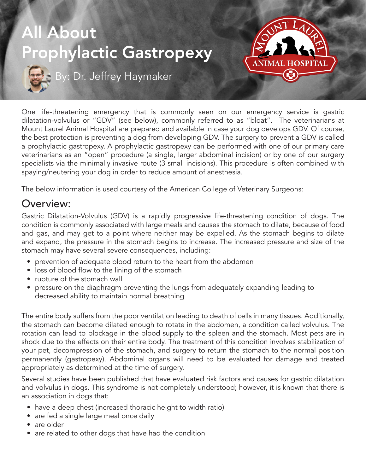

One life-threatening emergency that is commonly seen on our emergency service is gastric dilatation-volvulus or "GDV" (see below), commonly referred to as "bloat". The veterinarians at Mount Laurel Animal Hospital are prepared and available in case your dog develops GDV. Of course, the best protection is preventing a dog from developing GDV. The surgery to prevent a GDV is called a prophylactic gastropexy. A prophylactic gastropexy can be performed with one of our primary care veterinarians as an "open" procedure (a single, larger abdominal incision) or by one of our surgery specialists via the minimally invasive route (3 small incisions). This procedure is often combined with spaying/neutering your dog in order to reduce amount of anesthesia.

The below information is used courtesy of the American College of Veterinary Surgeons:

### Overview:

Gastric Dilatation-Volvulus (GDV) is a rapidly progressive life-threatening condition of dogs. The condition is commonly associated with large meals and causes the stomach to dilate, because of food and gas, and may get to a point where neither may be expelled. As the stomach begins to dilate and expand, the pressure in the stomach begins to increase. The increased pressure and size of the stomach may have several severe consequences, including:

- prevention of adequate blood return to the heart from the abdomen
- loss of blood flow to the lining of the stomach
- rupture of the stomach wall
- pressure on the diaphragm preventing the lungs from adequately expanding leading to decreased ability to maintain normal breathing

The entire body suffers from the poor ventilation leading to death of cells in many tissues. Additionally, the stomach can become dilated enough to rotate in the abdomen, a condition called volvulus. The rotation can lead to blockage in the blood supply to the spleen and the stomach. Most pets are in shock due to the effects on their entire body. The treatment of this condition involves stabilization of your pet, decompression of the stomach, and surgery to return the stomach to the normal position permanently (gastropexy). Abdominal organs will need to be evaluated for damage and treated appropriately as determined at the time of surgery.

Several studies have been published that have evaluated risk factors and causes for gastric dilatation and volvulus in dogs. This syndrome is not completely understood; however, it is known that there is an association in dogs that:

- have a deep chest (increased thoracic height to width ratio)
- are fed a single large meal once daily
- are older
- are related to other dogs that have had the condition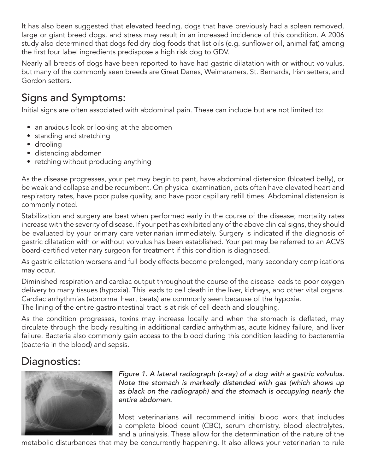It has also been suggested that elevated feeding, dogs that have previously had a spleen removed, large or giant breed dogs, and stress may result in an increased incidence of this condition. A 2006 study also determined that dogs fed dry dog foods that list oils (e.g. sunflower oil, animal fat) among the first four label ingredients predispose a high risk dog to GDV.

Nearly all breeds of dogs have been reported to have had gastric dilatation with or without volvulus, but many of the commonly seen breeds are Great Danes, Weimaraners, St. Bernards, Irish setters, and Gordon setters.

# Signs and Symptoms:

Initial signs are often associated with abdominal pain. These can include but are not limited to:

- an anxious look or looking at the abdomen
- standing and stretching
- drooling
- distending abdomen
- retching without producing anything

As the disease progresses, your pet may begin to pant, have abdominal distension (bloated belly), or be weak and collapse and be recumbent. On physical examination, pets often have elevated heart and respiratory rates, have poor pulse quality, and have poor capillary refill times. Abdominal distension is commonly noted.

Stabilization and surgery are best when performed early in the course of the disease; mortality rates increase with the severity of disease. If your pet has exhibited any of the above clinical signs, they should be evaluated by your primary care veterinarian immediately. Surgery is indicated if the diagnosis of gastric dilatation with or without volvulus has been established. Your pet may be referred to an ACVS board-certified veterinary surgeon for treatment if this condition is diagnosed.

As gastric dilatation worsens and full body effects become prolonged, many secondary complications may occur.

Diminished respiration and cardiac output throughout the course of the disease leads to poor oxygen delivery to many tissues (hypoxia). This leads to cell death in the liver, kidneys, and other vital organs. Cardiac arrhythmias (abnormal heart beats) are commonly seen because of the hypoxia.

The lining of the entire gastrointestinal tract is at risk of cell death and sloughing.

As the condition progresses, toxins may increase locally and when the stomach is deflated, may circulate through the body resulting in additional cardiac arrhythmias, acute kidney failure, and liver failure. Bacteria also commonly gain access to the blood during this condition leading to bacteremia (bacteria in the blood) and sepsis.

# Diagnostics:



*Figure 1. A lateral radiograph (x-ray) of a dog with a gastric volvulus. Note the stomach is markedly distended with gas (which shows up as black on the radiograph) and the stomach is occupying nearly the entire abdomen.*

Most veterinarians will recommend initial blood work that includes a complete blood count (CBC), serum chemistry, blood electrolytes, and a urinalysis. These allow for the determination of the nature of the

metabolic disturbances that may be concurrently happening. It also allows your veterinarian to rule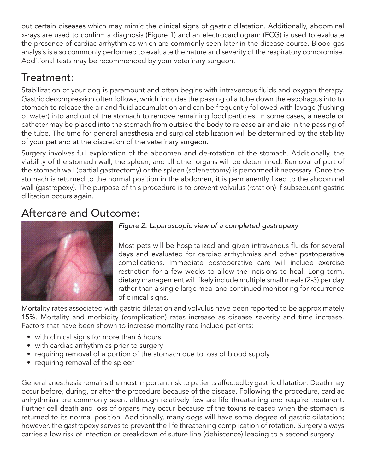out certain diseases which may mimic the clinical signs of gastric dilatation. Additionally, abdominal x-rays are used to confirm a diagnosis (Figure 1) and an electrocardiogram (ECG) is used to evaluate the presence of cardiac arrhythmias which are commonly seen later in the disease course. Blood gas analysis is also commonly performed to evaluate the nature and severity of the respiratory compromise. Additional tests may be recommended by your veterinary surgeon.

## Treatment:

Stabilization of your dog is paramount and often begins with intravenous fluids and oxygen therapy. Gastric decompression often follows, which includes the passing of a tube down the esophagus into to stomach to release the air and fluid accumulation and can be frequently followed with lavage (flushing of water) into and out of the stomach to remove remaining food particles. In some cases, a needle or catheter may be placed into the stomach from outside the body to release air and aid in the passing of the tube. The time for general anesthesia and surgical stabilization will be determined by the stability of your pet and at the discretion of the veterinary surgeon.

Surgery involves full exploration of the abdomen and de-rotation of the stomach. Additionally, the viability of the stomach wall, the spleen, and all other organs will be determined. Removal of part of the stomach wall (partial gastrectomy) or the spleen (splenectomy) is performed if necessary. Once the stomach is returned to the normal position in the abdomen, it is permanently fixed to the abdominal wall (gastropexy). The purpose of this procedure is to prevent volvulus (rotation) if subsequent gastric dilitation occurs again.

### Aftercare and Outcome:



#### *Figure 2. Laparoscopic view of a completed gastropexy*

Most pets will be hospitalized and given intravenous fluids for several days and evaluated for cardiac arrhythmias and other postoperative complications. Immediate postoperative care will include exercise restriction for a few weeks to allow the incisions to heal. Long term, dietary management will likely include multiple small meals (2-3) per day rather than a single large meal and continued monitoring for recurrence of clinical signs.

Mortality rates associated with gastric dilatation and volvulus have been reported to be approximately 15%. Mortality and morbidity (complication) rates increase as disease severity and time increase. Factors that have been shown to increase mortality rate include patients:

- with clinical signs for more than 6 hours
- with cardiac arrhythmias prior to surgery
- requiring removal of a portion of the stomach due to loss of blood supply
- requiring removal of the spleen

General anesthesia remains the most important risk to patients affected by gastric dilatation. Death may occur before, during, or after the procedure because of the disease. Following the procedure, cardiac arrhythmias are commonly seen, although relatively few are life threatening and require treatment. Further cell death and loss of organs may occur because of the toxins released when the stomach is returned to its normal position. Additionally, many dogs will have some degree of gastric dilatation; however, the gastropexy serves to prevent the life threatening complication of rotation. Surgery always carries a low risk of infection or breakdown of suture line (dehiscence) leading to a second surgery.